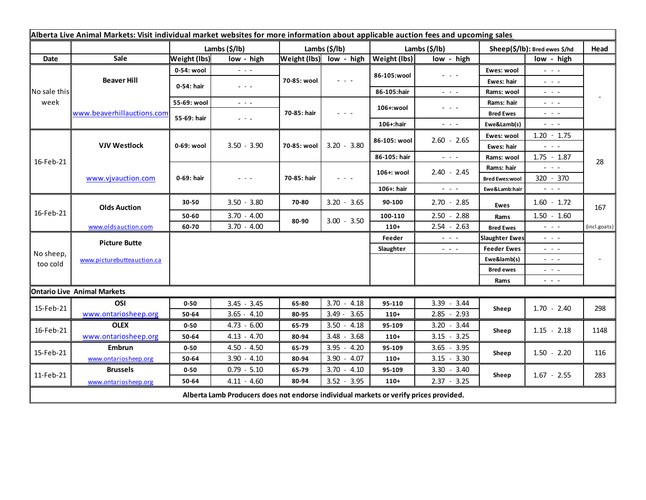| Alberta Live Animal Markets: Visit individual market websites for more information about applicable auction fees and upcoming sales |                                           |                          |                                                                                                                        |                            |                         |               |                                                                                                                                                                                                                                                                                                                                                                                                                                                |                                        |                                                                                                                                        |              |
|-------------------------------------------------------------------------------------------------------------------------------------|-------------------------------------------|--------------------------|------------------------------------------------------------------------------------------------------------------------|----------------------------|-------------------------|---------------|------------------------------------------------------------------------------------------------------------------------------------------------------------------------------------------------------------------------------------------------------------------------------------------------------------------------------------------------------------------------------------------------------------------------------------------------|----------------------------------------|----------------------------------------------------------------------------------------------------------------------------------------|--------------|
|                                                                                                                                     |                                           | Lambs $(\frac{2}{3})$    |                                                                                                                        | Lambs (\$/lb)              |                         | Lambs (\$/lb) |                                                                                                                                                                                                                                                                                                                                                                                                                                                | Sheep(\$/lb): Bred ewes \$/hd          |                                                                                                                                        | Head         |
| Date                                                                                                                                | Sale                                      | <b>Weight (lbs)</b>      | low - high                                                                                                             |                            | Weight (lbs) low - high | Weight (lbs)  | low - high                                                                                                                                                                                                                                                                                                                                                                                                                                     |                                        | low - high                                                                                                                             |              |
| No sale this<br>week                                                                                                                | <b>Beaver Hill</b>                        | 0-54: wool               | $  -$                                                                                                                  | 70-85: wool                | $  -$                   | 86-105:wool   | $\frac{1}{2} \left( \frac{1}{2} \right) + \frac{1}{2} \left( \frac{1}{2} \right) + \frac{1}{2} \left( \frac{1}{2} \right) + \frac{1}{2} \left( \frac{1}{2} \right) + \frac{1}{2} \left( \frac{1}{2} \right) + \frac{1}{2} \left( \frac{1}{2} \right) + \frac{1}{2} \left( \frac{1}{2} \right) + \frac{1}{2} \left( \frac{1}{2} \right) + \frac{1}{2} \left( \frac{1}{2} \right) + \frac{1}{2} \left( \frac{1}{2} \right) + \frac{1}{2} \left($ | Ewes: wool                             | $\omega_{\rm c} \sim \omega_{\rm c}$                                                                                                   |              |
|                                                                                                                                     |                                           | 0-54: hair               | $\frac{1}{2} \left( \frac{1}{2} \right) \frac{1}{2} \left( \frac{1}{2} \right) \frac{1}{2} \left( \frac{1}{2} \right)$ |                            |                         |               |                                                                                                                                                                                                                                                                                                                                                                                                                                                | Ewes: hair                             | $  -$                                                                                                                                  |              |
|                                                                                                                                     |                                           |                          |                                                                                                                        |                            |                         | 86-105:hair   | $\frac{1}{2} \left( \frac{1}{2} \right) = \frac{1}{2} \left( \frac{1}{2} \right)$                                                                                                                                                                                                                                                                                                                                                              | Rams: wool                             | $  -$                                                                                                                                  |              |
|                                                                                                                                     | www.beaverhillauctions.com                | 55-69: wool              | $\frac{1}{2} \left( \frac{1}{2} \right) \frac{1}{2} \left( \frac{1}{2} \right) \frac{1}{2} \left( \frac{1}{2} \right)$ | 70-85: hair                | - - -                   | 106+:wool     | $  -$                                                                                                                                                                                                                                                                                                                                                                                                                                          | Rams: hair                             | $  -$                                                                                                                                  |              |
|                                                                                                                                     |                                           | 55-69: hair              | - - -                                                                                                                  |                            |                         |               |                                                                                                                                                                                                                                                                                                                                                                                                                                                | <b>Bred Ewes</b>                       | $  -$                                                                                                                                  |              |
|                                                                                                                                     |                                           |                          |                                                                                                                        |                            |                         | 106+:hair     | $ -$                                                                                                                                                                                                                                                                                                                                                                                                                                           | Ewe&Lamb(s)                            | $\frac{1}{2} \left( \frac{1}{2} \right) \frac{1}{2} \left( \frac{1}{2} \right) \frac{1}{2} \left( \frac{1}{2} \right)$                 |              |
| 16-Feb-21                                                                                                                           | <b>VJV Westlock</b><br>www.vjvauction.com | 0-69: wool<br>0-69: hair | $3.50 - 3.90$<br>$  -$                                                                                                 | 70-85: wool<br>70-85: hair | $3.20 - 3.80$<br>$  -$  | 86-105: wool  | $2.60 - 2.65$                                                                                                                                                                                                                                                                                                                                                                                                                                  | Ewes: wool                             | $1.20 - 1.75$                                                                                                                          |              |
|                                                                                                                                     |                                           |                          |                                                                                                                        |                            |                         |               |                                                                                                                                                                                                                                                                                                                                                                                                                                                | Ewes: hair                             | $ -$                                                                                                                                   |              |
|                                                                                                                                     |                                           |                          |                                                                                                                        |                            |                         | 86-105: hair  | $\frac{1}{2} \left( \frac{1}{2} \right) \left( \frac{1}{2} \right) \left( \frac{1}{2} \right) \left( \frac{1}{2} \right)$                                                                                                                                                                                                                                                                                                                      | Rams: wool                             | $1.75 - 1.87$                                                                                                                          | 28           |
|                                                                                                                                     |                                           |                          |                                                                                                                        |                            |                         | 106+: wool    | $2.40 - 2.45$                                                                                                                                                                                                                                                                                                                                                                                                                                  | Rams: hair                             | $  -$                                                                                                                                  |              |
|                                                                                                                                     |                                           |                          |                                                                                                                        |                            |                         | 106+: hair    | $\frac{1}{2} \left( \frac{1}{2} \right) \left( \frac{1}{2} \right) \left( \frac{1}{2} \right)$                                                                                                                                                                                                                                                                                                                                                 | <b>Bred Ewes:wool</b><br>Ewe&Lamb:hair | 320 - 370<br>$\frac{1}{2} \left( \frac{1}{2} \right) \left( \frac{1}{2} \right) \left( \frac{1}{2} \right) \left( \frac{1}{2} \right)$ |              |
| 16-Feb-21                                                                                                                           | <b>Olds Auction</b>                       |                          |                                                                                                                        |                            |                         |               |                                                                                                                                                                                                                                                                                                                                                                                                                                                |                                        |                                                                                                                                        |              |
|                                                                                                                                     |                                           | 30-50                    | $3.50 - 3.80$                                                                                                          | 70-80                      | $3.20 - 3.65$           | 90-100        | $2.70 - 2.85$                                                                                                                                                                                                                                                                                                                                                                                                                                  | Ewes                                   | $1.60 - 1.72$                                                                                                                          | 167          |
|                                                                                                                                     |                                           | 50-60                    | $3.70 - 4.00$                                                                                                          | 80-90                      | $3.00 - 3.50$           | 100-110       | $2.50 - 2.88$                                                                                                                                                                                                                                                                                                                                                                                                                                  | Rams                                   | $1.50 - 1.60$                                                                                                                          |              |
|                                                                                                                                     | www.oldsauction.com                       | 60-70                    | $3.70 - 4.00$                                                                                                          |                            |                         | $110+$        | $2.54 - 2.63$                                                                                                                                                                                                                                                                                                                                                                                                                                  | <b>Bred Ewes</b>                       | $ -$                                                                                                                                   | (incl.goats) |
| No sheep,<br>too cold                                                                                                               | <b>Picture Butte</b>                      |                          |                                                                                                                        |                            |                         | Feeder        | $\frac{1}{2} \left( \frac{1}{2} \right) \left( \frac{1}{2} \right) \left( \frac{1}{2} \right)$                                                                                                                                                                                                                                                                                                                                                 | <b>Slaughter Ewes</b>                  | $  -$                                                                                                                                  |              |
|                                                                                                                                     | www.picturebutteauction.ca                |                          |                                                                                                                        |                            |                         | Slaughter     | $\frac{1}{2} \left( \frac{1}{2} \right) \left( \frac{1}{2} \right) \left( \frac{1}{2} \right)$                                                                                                                                                                                                                                                                                                                                                 | <b>Feeder Ewes</b>                     | $  -$                                                                                                                                  |              |
|                                                                                                                                     |                                           |                          |                                                                                                                        |                            |                         |               |                                                                                                                                                                                                                                                                                                                                                                                                                                                | Ewe&lamb(s)                            | $  -$                                                                                                                                  |              |
|                                                                                                                                     |                                           |                          |                                                                                                                        |                            |                         |               |                                                                                                                                                                                                                                                                                                                                                                                                                                                | <b>Bred ewes</b>                       | $  -$                                                                                                                                  |              |
|                                                                                                                                     |                                           |                          |                                                                                                                        |                            |                         |               |                                                                                                                                                                                                                                                                                                                                                                                                                                                | Rams                                   | $  -$                                                                                                                                  |              |
|                                                                                                                                     | <b>Ontario Live Animal Markets</b>        |                          |                                                                                                                        |                            |                         |               |                                                                                                                                                                                                                                                                                                                                                                                                                                                |                                        |                                                                                                                                        |              |
| 15-Feb-21                                                                                                                           | OSI                                       | $0 - 50$                 | $3.45 - 3.45$                                                                                                          | 65-80                      | $3.70 - 4.18$           | 95-110        | $3.39 - 3.44$                                                                                                                                                                                                                                                                                                                                                                                                                                  | Sheep                                  | $1.70 - 2.40$                                                                                                                          | 298          |
| 16-Feb-21                                                                                                                           | www.ontariosheep.org                      | 50-64                    | $3.65 - 4.10$                                                                                                          | 80-95                      | $3.49 - 3.65$           | $110+$        | $2.85 - 2.93$                                                                                                                                                                                                                                                                                                                                                                                                                                  | Sheep                                  |                                                                                                                                        |              |
|                                                                                                                                     | <b>OLEX</b>                               | $0 - 50$                 | $4.73 - 6.00$                                                                                                          | 65-79                      | $3.50 - 4.18$           | 95-109        | $3.20 - 3.44$                                                                                                                                                                                                                                                                                                                                                                                                                                  |                                        | $1.15 - 2.18$                                                                                                                          | 1148         |
|                                                                                                                                     | www.ontariosheep.org                      | 50-64                    | $4.13 - 4.70$                                                                                                          | 80-94                      | $3.48 - 3.68$           | $110+$        | $3.15 - 3.25$                                                                                                                                                                                                                                                                                                                                                                                                                                  |                                        |                                                                                                                                        |              |
| 15-Feb-21                                                                                                                           | <b>Embrun</b>                             | $0 - 50$                 | $4.50 - 4.50$                                                                                                          | 65-79                      | $3.95 - 4.20$           | 95-109        | $3.65 - 3.95$                                                                                                                                                                                                                                                                                                                                                                                                                                  | Sheep                                  | $1.50 - 2.20$                                                                                                                          | 116          |
| 11-Feb-21                                                                                                                           | www.ontariosheep.org                      | 50-64                    | $3.90 - 4.10$                                                                                                          | 80-94                      | $3.90 - 4.07$           | $110+$        | $3.15 - 3.30$                                                                                                                                                                                                                                                                                                                                                                                                                                  |                                        |                                                                                                                                        |              |
|                                                                                                                                     | <b>Brussels</b>                           | $0 - 50$                 | $0.79 - 5.10$                                                                                                          | 65-79                      | $3.70 - 4.10$           | 95-109        | $3.30 - 3.40$                                                                                                                                                                                                                                                                                                                                                                                                                                  | Sheep                                  | $1.67 - 2.55$                                                                                                                          | 283          |
|                                                                                                                                     | www.ontariosheep.org                      | 50-64                    | $4.11 - 4.60$                                                                                                          | 80-94                      | $3.52 - 3.95$           | $110+$        | $2.37 - 3.25$                                                                                                                                                                                                                                                                                                                                                                                                                                  |                                        |                                                                                                                                        |              |
| Alberta Lamb Producers does not endorse individual markets or verify prices provided.                                               |                                           |                          |                                                                                                                        |                            |                         |               |                                                                                                                                                                                                                                                                                                                                                                                                                                                |                                        |                                                                                                                                        |              |